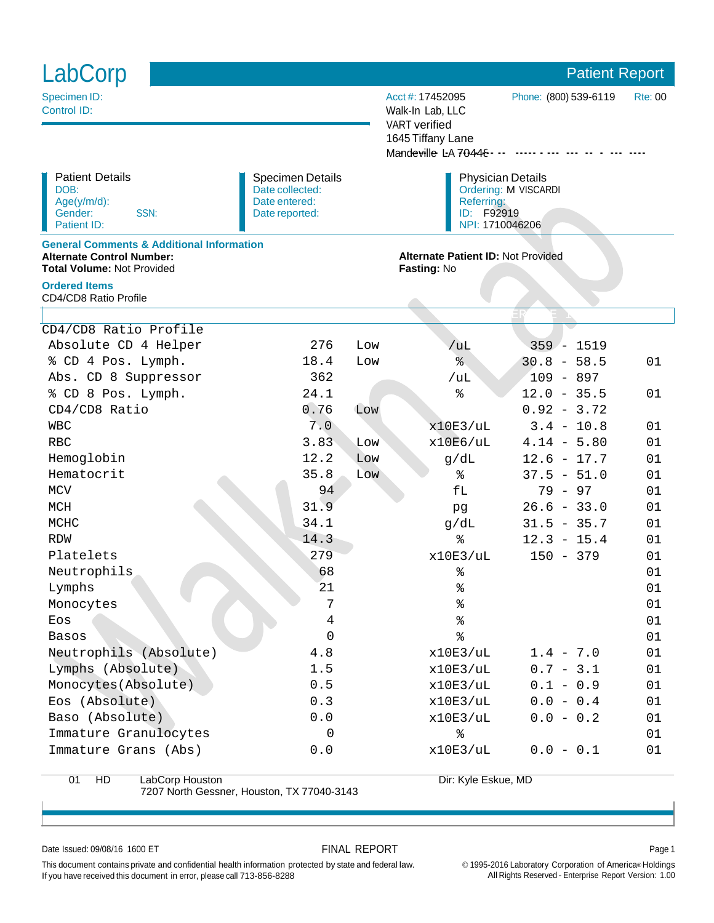| LabCorp                                                                                                                       |                                                                               |                                                                                                 |                                                                                                              | <b>Patient Report</b>                     |                |  |
|-------------------------------------------------------------------------------------------------------------------------------|-------------------------------------------------------------------------------|-------------------------------------------------------------------------------------------------|--------------------------------------------------------------------------------------------------------------|-------------------------------------------|----------------|--|
| Specimen ID:<br>Control ID:                                                                                                   |                                                                               |                                                                                                 | Acct #: 17452095<br>Walk-In Lab, LLC<br><b>VART</b> verified<br>1645 Tiffany Lane<br>Mandeville L-A 70448 -- | Phone: (800) 539-6119                     | <b>Rte: 00</b> |  |
| <b>Patient Details</b><br>DOB:<br>Age(y/m/d):<br>SSN:<br>Gender:<br>Patient ID:                                               | <b>Specimen Details</b><br>Date collected:<br>Date entered:<br>Date reported: | <b>Physician Details</b><br>Ordering: M VISCARDI<br>Referring:<br>ID: F92919<br>NPI: 1710046206 |                                                                                                              |                                           |                |  |
| <b>General Comments &amp; Additional Information</b><br><b>Alternate Control Number:</b><br><b>Total Volume: Not Provided</b> |                                                                               |                                                                                                 | <b>Fasting: No</b>                                                                                           | <b>Alternate Patient ID: Not Provided</b> |                |  |
| <b>Ordered Items</b><br>CD4/CD8 Ratio Profile                                                                                 |                                                                               |                                                                                                 |                                                                                                              |                                           |                |  |
|                                                                                                                               |                                                                               |                                                                                                 |                                                                                                              |                                           |                |  |
| CD4/CD8 Ratio Profile                                                                                                         |                                                                               |                                                                                                 |                                                                                                              |                                           |                |  |
| Absolute CD 4 Helper                                                                                                          | 276                                                                           | Low                                                                                             | /uL                                                                                                          | $359 - 1519$                              |                |  |
| % CD 4 Pos. Lymph.                                                                                                            | 18.4                                                                          | Low                                                                                             | ್ಯ                                                                                                           | $30.8 - 58.5$                             | 01             |  |
| Abs. CD 8 Suppressor                                                                                                          | 362                                                                           |                                                                                                 | /uL                                                                                                          | $109 - 897$                               |                |  |
| % CD 8 Pos. Lymph.                                                                                                            | 24.1<br>0.76                                                                  |                                                                                                 | %                                                                                                            | $12.0 - 35.5$                             | 01             |  |
| $CD4/CD8$ Ratio                                                                                                               | 7.0                                                                           | Low                                                                                             |                                                                                                              | $0.92 - 3.72$                             |                |  |
| <b>WBC</b><br><b>RBC</b>                                                                                                      | 3.83                                                                          |                                                                                                 | x10E3/uL                                                                                                     | $3.4 - 10.8$<br>$4.14 - 5.80$             | 01             |  |
| Hemoglobin                                                                                                                    | 12.2                                                                          | Low<br>Low                                                                                      | x10E6/uL                                                                                                     | $12.6 - 17.7$                             | 01<br>01       |  |
| Hematocrit                                                                                                                    | 35.8                                                                          | Low                                                                                             | g/dL<br>៖                                                                                                    | $37.5 - 51.0$                             | 01             |  |
| <b>MCV</b>                                                                                                                    | 94                                                                            |                                                                                                 | fL                                                                                                           | $79 - 97$                                 | 01             |  |
| <b>MCH</b>                                                                                                                    | 31.9                                                                          |                                                                                                 |                                                                                                              | $26.6 - 33.0$                             | 01             |  |
| MCHC                                                                                                                          | 34.1                                                                          |                                                                                                 | pg<br>g/dL                                                                                                   | $31.5 - 35.7$                             | 01             |  |
| <b>RDW</b>                                                                                                                    | 14.3                                                                          |                                                                                                 | ి                                                                                                            | $12.3 - 15.4$                             | 01             |  |
| Platelets                                                                                                                     | 279                                                                           |                                                                                                 | x10E3/uL                                                                                                     | $150 - 379$                               | 01             |  |
| Neutrophils                                                                                                                   | 68                                                                            |                                                                                                 | ៖                                                                                                            |                                           | 01             |  |
| Lymphs                                                                                                                        | 21                                                                            |                                                                                                 | %                                                                                                            |                                           | 01             |  |
| Monocytes                                                                                                                     | 7                                                                             |                                                                                                 | ៖                                                                                                            |                                           | 01             |  |
| Eos                                                                                                                           | 4                                                                             |                                                                                                 | $\,{}^{\circ}\!\!\delta$                                                                                     |                                           | 01             |  |
| <b>Basos</b>                                                                                                                  | 0                                                                             |                                                                                                 | %                                                                                                            |                                           | 01             |  |
| Neutrophils (Absolute)                                                                                                        | 4.8                                                                           |                                                                                                 | x10E3/uL                                                                                                     | $1.4 - 7.0$                               | 01             |  |
| Lymphs (Absolute)                                                                                                             | 1.5                                                                           |                                                                                                 | x10E3/uL                                                                                                     | $0.7 - 3.1$                               | 01             |  |
| Monocytes (Absolute)                                                                                                          | 0.5                                                                           |                                                                                                 | x10E3/uL                                                                                                     | $0.1 - 0.9$                               | 01             |  |
| Eos (Absolute)                                                                                                                | 0.3                                                                           |                                                                                                 | x10E3/uL                                                                                                     | $0.0 - 0.4$                               | 01             |  |
| Baso (Absolute)                                                                                                               | 0.0                                                                           |                                                                                                 | x10E3/uL                                                                                                     | $0.0 - 0.2$                               | 01             |  |
| Immature Granulocytes                                                                                                         | 0                                                                             |                                                                                                 | %                                                                                                            |                                           | 01             |  |
| Immature Grans (Abs)                                                                                                          | 0.0                                                                           |                                                                                                 | x10E3/uL                                                                                                     | $0.0 - 0.1$                               | 01             |  |
| HD<br>LabCorp Houston<br>01                                                                                                   |                                                                               | Dir: Kyle Eskue, MD                                                                             |                                                                                                              |                                           |                |  |

7207 North Gessner, Houston, TX 77040-3143

Dir: Kyle Eskue, MD

Date Issued: 09/08/16 1600 ET Page 1

© 1995-2016 Laboratory Corporation of America® Holdings All Rights Reserved - Enterprise Report Version: 1.00

This document contains private and confidential health information protected by state and federal law. If you have received this document in error, please call 713-856-8288